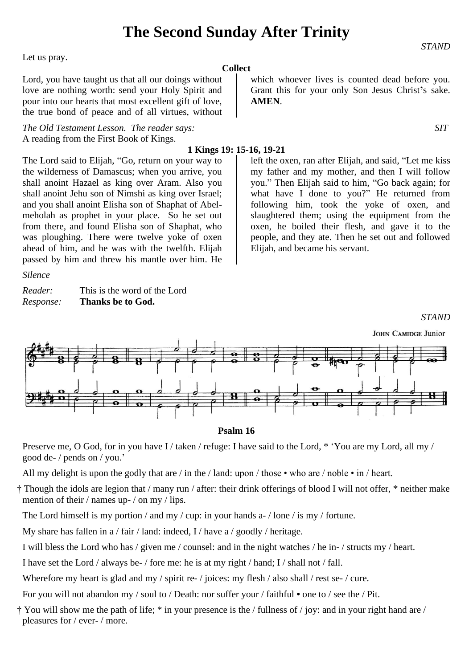## **The Second Sunday After Trinity**

**Collect**

Let us pray.

Lord, you have taught us that all our doings without love are nothing worth: send your Holy Spirit and pour into our hearts that most excellent gift of love, the true bond of peace and of all virtues, without

*The Old Testament Lesson. The reader says: SIT* A reading from the First Book of Kings.

The Lord said to Elijah, "Go, return on your way to the wilderness of Damascus; when you arrive, you shall anoint Hazael as king over Aram. Also you shall anoint Jehu son of Nimshi as king over Israel; and you shall anoint Elisha son of Shaphat of Abelmeholah as prophet in your place. So he set out from there, and found Elisha son of Shaphat, who was ploughing. There were twelve yoke of oxen ahead of him, and he was with the twelfth. Elijah passed by him and threw his mantle over him. He

*Silence*

*Reader:* This is the word of the Lord *Response:* **Thanks be to God.**

```
which whoever lives is counted dead before you. 
Grant this for your only Son Jesus Christ's sake. 
AMEN.
```
*STAND*

### **1 Kings 19: 15-16, 19-21**

left the oxen, ran after Elijah, and said, "Let me kiss my father and my mother, and then I will follow you." Then Elijah said to him, "Go back again; for what have I done to you?" He returned from following him, took the yoke of oxen, and slaughtered them; using the equipment from the oxen, he boiled their flesh, and gave it to the people, and they ate. Then he set out and followed Elijah, and became his servant.

### *STAND*



#### **Psalm 16**

Preserve me, O God, for in you have I / taken / refuge: I have said to the Lord, \* 'You are my Lord, all my / good de- / pends on / you.'

All my delight is upon the godly that are / in the / land: upon / those • who are / noble • in / heart.

† Though the idols are legion that / many run / after: their drink offerings of blood I will not offer, \* neither make mention of their / names up- / on my / lips.

The Lord himself is my portion / and my / cup: in your hands a- / lone / is my / fortune.

My share has fallen in a / fair / land: indeed, I / have a / goodly / heritage.

I will bless the Lord who has / given me / counsel: and in the night watches / he in- / structs my / heart.

I have set the Lord / always be- / fore me: he is at my right / hand; I / shall not / fall.

Wherefore my heart is glad and my / spirit re- / joices: my flesh / also shall / rest se- / cure.

For you will not abandon my / soul to / Death: nor suffer your / faithful **•** one to / see the / Pit.

† You will show me the path of life; \* in your presence is the / fullness of / joy: and in your right hand are / pleasures for / ever- / more.